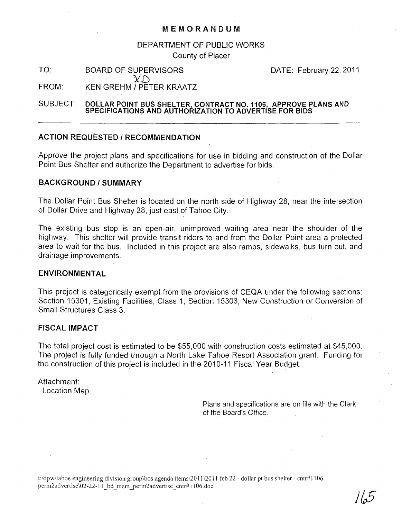# MEMORANDUM

## DEPARTMENT OF PUBLIC WORKS

County of Placer

TO: BOARD OF SUPERVISORS DATE: February 22, 2011

#### FROM: KEN GREHM I PETER KRAATZ

 $\chi_{D}$ 

#### SUBJECT: DOLLAR POINT BUS SHELTER, CONTRACT NO. 1106, APPROVE PLANS AND SPECIFICATIONS AND AUTHORIZATION TO ADVERTISE FOR BIDS

# ACTION REQUESTED / RECOMMENDATION

Approve the project plans and specifications for use in bidding and construction of the Dollar Point Bus Shelter and authorize the Department to advertise for bids.

## BACKGROUND/SUMMARY

The Dollar Point Bus Shelter is located on the north side of Highway 28, near the intersection of Dollar Drive and Highway 28, just east of Tahoe City.

The existing bus stop is an open-air, unimproved waiting area near the shoulder of the highway. This shelter will provide transit riders to and from the Dollar Point area a protected area to wait for the bus. Included in this project are also ramps, sidewalks, bus turn out, and drainage improvements.

## ENVIRONMENTAL

This project is categorically exempt from the provisions of CEQA under the following sections: Section 15301, Existing Facilities, Class 1; Section 15303, New Construction or Conversion of Small Structures Class 3.

#### FISCAL IMPACT

The total project cost is estimated to be \$55,000 with construction costs estimated at \$45,000. The project is fully funded through a North Lake Tahoe Resort Association grant. Funding for the construction of this project is included in the 2010-11 Fiscal Year Budget.

Attachment: Location Map

> Plans and specifications are on file with the Clerk of the Board's Office.

t:\dpw\tahoe engineering division group\bos agenda items\20 11 \20 11 feb 22 - dollar pt bus shelter - cntr# 11 06 perm2advertise\02-22-11 bd mem perm2advertise cntr#1106.doc